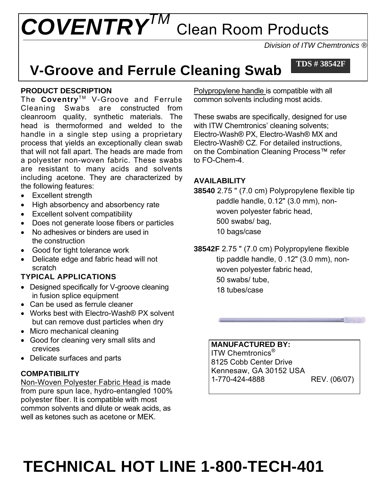*COVENTRYTM* Clean Room Products

*Division of ITW Chemtronics ®* 

## **TDS # 38542F V-Groove and Ferrule Cleaning Swab**

#### **PRODUCT DESCRIPTION**

The **Coventry<sup>™</sup> V-Groove and Ferrule** Cleaning Swabs are constructed from cleanroom quality, synthetic materials. The head is thermoformed and welded to the handle in a single step using a proprietary process that yields an exceptionally clean swab that will not fall apart. The heads are made from a polyester non-woven fabric. These swabs are resistant to many acids and solvents including acetone. They are characterized by the following features:

- Excellent strength
- High absorbency and absorbency rate
- Excellent solvent compatibility
- Does not generate loose fibers or particles
- No adhesives or binders are used in the construction
- Good for tight tolerance work
- Delicate edge and fabric head will not scratch

### **TYPICAL APPLICATIONS**

- Designed specifically for V-groove cleaning in fusion splice equipment
- Can be used as ferrule cleaner
- Works best with Electro-Wash® PX solvent but can remove dust particles when dry
- Micro mechanical cleaning
- Good for cleaning very small slits and crevices
- Delicate surfaces and parts

#### **COMPATIBILITY**

Non-Woven Polyester Fabric Head is made from pure spun lace, hydro-entangled 100% polyester fiber. It is compatible with most common solvents and dilute or weak acids, as well as ketones such as acetone or MEK.

Polypropylene handle is compatible with all common solvents including most acids.

These swabs are specifically, designed for use with ITW Chemtronics' cleaning solvents; Electro-Wash® PX, Electro-Wash® MX and Electro-Wash® CZ. For detailed instructions, on the Combination Cleaning Process™ refer to FO-Chem-4.

#### **AVAILABILITY**

### **38540** 2.75 " (7.0 cm) Polypropylene flexible tip paddle handle, 0.12" (3.0 mm), nonwoven polyester fabric head, 500 swabs/ bag, 10 bags/case

**38542F** 2.75 " (7.0 cm) Polypropylene flexible tip paddle handle, 0 .12" (3.0 mm), nonwoven polyester fabric head, 50 swabs/ tube, 18 tubes/case

#### **MANUFACTURED BY:**

ITW Chemtronics<sup>®</sup> 8125 Cobb Center Drive Kennesaw, GA 30152 USA 1-770-424-4888 REV. (06/07)

# **TECHNICAL HOT LINE 1-800-TECH-401**